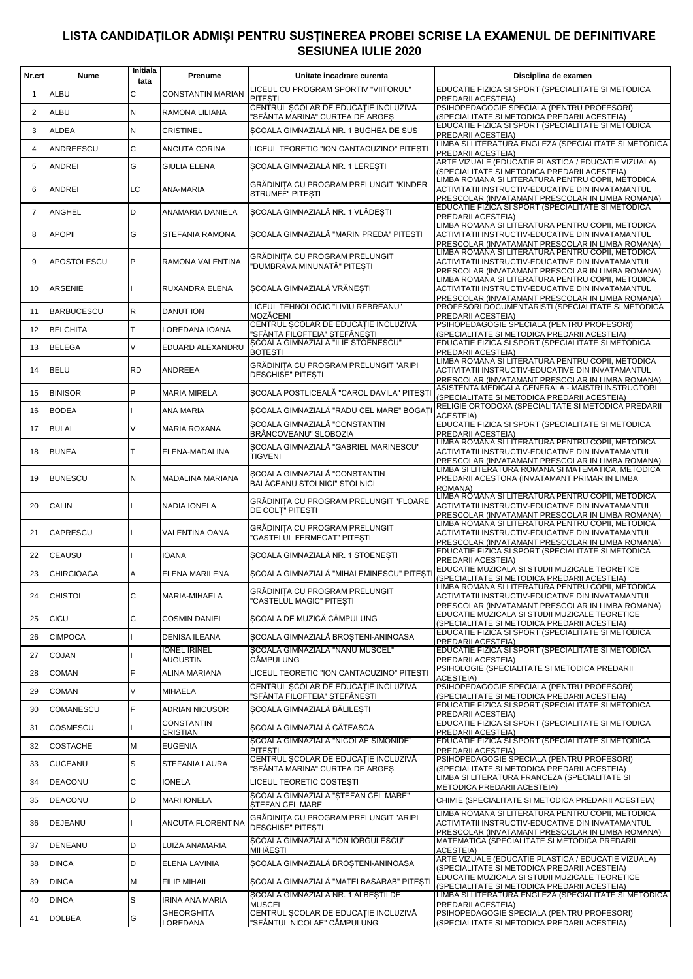## LISTA CANDIDAȚILOR ADMIȘI PENTRU SUSȚINEREA PROBEI SCRISE LA EXAMENUL DE DEFINITIVARE **SESIUNEA IULIE 2020**

| Nr.crt         | Nume              | Initiala<br>tata | Prenume                         | Unitate incadrare curenta                                                            | Disciplina de examen                                                                                                                                       |
|----------------|-------------------|------------------|---------------------------------|--------------------------------------------------------------------------------------|------------------------------------------------------------------------------------------------------------------------------------------------------------|
| $\mathbf{1}$   | <b>ALBU</b>       | C                | <b>CONSTANTIN MARIAN</b>        | LICEUL CU PROGRAM SPORTIV "VIITORUL"<br><b>PITESTI</b>                               | EDUCATIE FIZICA SI SPORT (SPECIALITATE SI METODICA<br>PREDARII ACESTEIA)                                                                                   |
| $\overline{2}$ | <b>ALBU</b>       | N                | RAMONA LILIANA                  | CENTRUL SCOLAR DE EDUCATIE INCLUZIVĂ<br>"SFÂNTA MARINA" CURTEA DE ARGES              | PSIHOPEDAGOGIE SPECIALA (PENTRU PROFESORI)<br>(SPECIALITATE SI METODICA PREDARII ACESTEIA)                                                                 |
| 3              | <b>ALDEA</b>      | N                | <b>CRISTINEL</b>                | SCOALA GIMNAZIALĂ NR. 1 BUGHEA DE SUS                                                | EDUCATIE FIZICA SI SPORT (SPECIALITATE SI METODICA<br>PREDARII ACESTEIA)                                                                                   |
| $\overline{4}$ | <b>ANDREESCU</b>  | C                | ANCUTA CORINA                   | LICEUL TEORETIC "ION CANTACUZINO" PITESTI                                            | LIMBA SI LITERATURA ENGLEZA (SPECIALITATE SI METODICA<br>PREDARII ACESTEIA)                                                                                |
| 5              | <b>ANDREI</b>     | G                | <b>GIULIA ELENA</b>             | SCOALA GIMNAZIALĂ NR. 1 LERESTI                                                      | ARTE VIZUALE (EDUCATIE PLASTICA / EDUCATIE VIZUALA)<br>(SPECIALITATE SI METODICA PREDARII ACESTEIA)                                                        |
| 6              | <b>ANDREI</b>     | ГC               | <b>ANA-MARIA</b>                | GRĂDINITA CU PROGRAM PRELUNGIT "KINDER<br><b>STRUMFF" PITESTI</b>                    | LIMBA ROMANA SI LITERATURA PENTRU COPII, METODICA<br>ACTIVITATII INSTRUCTIV-EDUCATIVE DIN INVATAMANTUL<br>PRESCOLAR (INVATAMANT PRESCOLAR IN LIMBA ROMANA) |
| $\overline{7}$ | <b>ANGHEL</b>     | D                | ANAMARIA DANIELA                | SCOALA GIMNAZIALĂ NR. 1 VLĂDESTI                                                     | EDUCATIE FIZICA SI SPORT (SPECIALITATE SI METODICA<br>PREDARII ACESTEIA)                                                                                   |
| 8              | <b>APOPII</b>     | G                | STEFANIA RAMONA                 | SCOALA GIMNAZIALĂ "MARIN PREDA" PITESTI                                              | LIMBA ROMANA SI LITERATURA PENTRU COPII, METODICA<br>ACTIVITATII INSTRUCTIV-EDUCATIVE DIN INVATAMANTUL<br>PRESCOLAR (INVATAMANT PRESCOLAR IN LIMBA ROMANA) |
| 9              | APOSTOLESCU       | P                | RAMONA VALENTINA                | GRĂDINIȚA CU PROGRAM PRELUNGIT<br>"DUMBRAVA MINUNATĂ" PITESTI                        | LIMBA ROMANA SI LITERATURA PENTRU COPII, METODICA<br>ACTIVITATII INSTRUCTIV-EDUCATIVE DIN INVATAMANTUL<br>PRESCOLAR (INVATAMANT PRESCOLAR IN LIMBA ROMANA) |
| 10             | <b>ARSENIE</b>    |                  | RUXANDRA ELENA                  | SCOALA GIMNAZIALĂ VRĂNESTI                                                           | LIMBA ROMANA SI LITERATURA PENTRU COPII, METODICA<br>ACTIVITATII INSTRUCTIV-EDUCATIVE DIN INVATAMANTUL<br>PRESCOLAR (INVATAMANT PRESCOLAR IN LIMBA ROMANA) |
| 11             | <b>BARBUCESCU</b> | R                | <b>DANUT ION</b>                | LICEUL TEHNOLOGIC "LIVIU REBREANU"<br>MOZĂCENI                                       | PROFESORI DOCUMENTARISTI (SPECIALITATE SI METODICA<br>PREDARII ACESTEIA)                                                                                   |
| 12             | <b>BELCHITA</b>   | T.               | LOREDANA IOANA                  | CENTRUL ȘCOLAR DE EDUCAȚIE INCLUZIVĂ<br>"SFÂNTA FILOFTEIA" ȘTEFĂNEȘTI                | PSIHOPEDAGOGIE SPECIALA (PENTRU PROFESORI)<br>(SPECIALITATE SI METODICA PREDARII ACESTEIA)                                                                 |
| 13             | <b>BELEGA</b>     | V                | EDUARD ALEXANDRU                | SCOALA GIMNAZIALĂ "ILIE STOENESCU"<br><b>BOTESTI</b>                                 | EDUCATIE FIZICA SI SPORT (SPECIALITATE SI METODICA<br>PREDARII ACESTEIA)                                                                                   |
| 14             | <b>BELU</b>       | <b>RD</b>        | ANDREEA                         | GRĂDINIȚA CU PROGRAM PRELUNGIT "ARIPI<br><b>DESCHISE" PITESTI</b>                    | LIMBA ROMANA SI LITERATURA PENTRU COPII, METODICA<br>ACTIVITATII INSTRUCTIV-EDUCATIVE DIN INVATAMANTUL<br>PRESCOLAR (INVATAMANT PRESCOLAR IN LIMBA ROMANA) |
| 15             | <b>BINISOR</b>    | P                | <b>MARIA MIRELA</b>             | SCOALA POSTLICEALĂ "CAROL DAVILA" PITEȘTI                                            | ASISTENTA MEDICALA GENERALA - MAISTRI INSTRUCTORI<br>(SPECIALITATE SI METODICA PREDARII ACESTEIA)                                                          |
| 16             | <b>BODEA</b>      |                  | ANA MARIA                       | SCOALA GIMNAZIALĂ "RADU CEL MARE" BOGATI                                             | RELIGIE ORTODOXA (SPECIALITATE SI METODICA PREDARII<br><b>ACESTEIA)</b>                                                                                    |
| 17             | <b>BULAI</b>      | V                | <b>MARIA ROXANA</b>             | SCOALA GIMNAZIALĂ "CONSTANTIN<br>BRÂNCOVEANU" SLOBOZIA                               | EDUCATIE FIZICA SI SPORT (SPECIALITATE SI METODICA<br>PREDARII ACESTEIA)                                                                                   |
| 18             | <b>BUNEA</b>      | т                | ELENA-MADALINA                  | SCOALA GIMNAZIALĂ "GABRIEL MARINESCU"<br><b>TIGVENI</b>                              | LIMBA ROMANA SI LITERATURA PENTRU COPII, METODICA<br>ACTIVITATII INSTRUCTIV-EDUCATIVE DIN INVATAMANTUL<br>PRESCOLAR (INVATAMANT PRESCOLAR IN LIMBA ROMANA) |
| 19             | <b>BUNESCU</b>    | N                | MADALINA MARIANA                | SCOALA GIMNAZIALĂ "CONSTANTIN<br>BĂLĂCEANU STOLNICI" STOLNICI                        | LIMBA SI LITERATURA ROMANA SI MATEMATICA, METODICA<br>PREDARII ACESTORA (INVATAMANT PRIMAR IN LIMBA<br>ROMANA)                                             |
| 20             | <b>CALIN</b>      |                  | NADIA IONELA                    | GRÅDINITA CU PROGRAM PRELUNGIT "FLOARE<br>DE COLT" PITESTI                           | LIMBA ROMANA SI LITERATURA PENTRU COPII, METODICA<br>ACTIVITATII INSTRUCTIV-EDUCATIVE DIN INVATAMANTUL<br>PRESCOLAR (INVATAMANT PRESCOLAR IN LIMBA ROMANA) |
| 21             | <b>CAPRESCU</b>   |                  | VALENTINA OANA                  | GRĂDINITA CU PROGRAM PRELUNGIT<br>'CASTELUL FERMECAT" PITESTI                        | LIMBA ROMANA SI LITERATURA PENTRU COPII, METODICA<br>ACTIVITATII INSTRUCTIV-EDUCATIVE DIN INVATAMANTUL<br>PRESCOLAR (INVATAMANT PRESCOLAR IN LIMBA ROMANA) |
| 22             | <b>CEAUSU</b>     |                  | <b>IOANA</b>                    | SCOALA GIMNAZIALĂ NR. 1 STOENEȘTI                                                    | EDUCATIE FIZICA SI SPORT (SPECIALITATE SI METODICA<br>PREDARII ACESTEIA)                                                                                   |
| 23             | <b>CHIRCIOAGA</b> | Α                | ELENA MARILENA                  | SCOALA GIMNAZIALĂ "MIHAI EMINESCU" PITEȘTI                                           | EDUCATIE MUZICALA SI STUDII MUZICALE TEORETICE<br>(SPECIALITATE SI METODICA PREDARII ACESTEIA)                                                             |
| 24             | <b>CHISTOL</b>    | $\mathsf{C}$     | MARIA-MIHAELA                   | GRADINIȚA CU PROGRAM PRELUNGIT<br>'CASTELUL MAGIC" PITEȘTI                           | LIMBA ROMANA SI LITERATURA PENTRU COPII. METODICA<br>ACTIVITATII INSTRUCTIV-EDUCATIVE DIN INVATAMANTUL<br>PRESCOLAR (INVATAMANT PRESCOLAR IN LIMBA ROMANA) |
| 25             | <b>CICU</b>       | C                | <b>COSMIN DANIEL</b>            | SCOALA DE MUZICĂ CÂMPULUNG                                                           | EDUCATIE MUZICALA SI STUDII MUZICALE TEORETICE<br>(SPECIALITATE SI METODICA PREDARII ACESTEIA)                                                             |
| 26             | <b>CIMPOCA</b>    |                  | <b>DENISA ILEANA</b>            | SCOALA GIMNAZIALĂ BROȘTENI-ANINOASA                                                  | EDUCATIE FIZICA SI SPORT (SPECIALITATE SI METODICA<br>PREDARII ACESTEIA)                                                                                   |
| 27             | <b>COJAN</b>      |                  | <b>IONEL IRINEL</b><br>AUGUSTIN | SCOALA GIMNAZIALĂ "NANU MUSCEL"<br>CÂMPULUNG                                         | EDUCATIE FIZICA SI SPORT (SPECIALITATE SI METODICA<br>PREDARII ACESTEIA)                                                                                   |
| 28             | COMAN             | F                | <b>ALINA MARIANA</b>            | LICEUL TEORETIC "ION CANTACUZINO" PITESTI                                            | PSIHOLOGIE (SPECIÁLITATE SI METODICA PREDARII<br><b>ACESTEIA)</b>                                                                                          |
| 29             | <b>COMAN</b>      | V                | MIHAELA                         | CENTRUL SCOLAR DE EDUCATIE INCLUZIVĂ<br>"SFÂNTA FILOFTEIA" ȘTEFĂNEȘTI                | PSIHOPEDAGOGIE SPECIALA (PENTRU PROFESORI)<br>(SPECIALITATE SI METODICA PREDARII ACESTEIA)                                                                 |
| 30             | COMANESCU         | F                | ADRIAN NICUSOR                  | SCOALA GIMNAZIALĂ BĂLILEȘTI                                                          | EDUCATIE FIZICA SI SPORT (SPECIALITATE SI METODICA<br>PREDARII ACESTEIA)                                                                                   |
| 31             | <b>COSMESCU</b>   |                  | <b>CONSTANTIN</b><br>CRISTIAN   | ȘCOALA GIMNAZIALĂ CĂTEASCA                                                           | EDUCATIE FIZICA SI SPORT (SPECIALITATE SI METODICA<br>PREDARII ACESTEIA)                                                                                   |
| 32             | <b>COSTACHE</b>   | М                | <b>EUGENIA</b>                  | ȘCOALA GIMNAZIALĂ "NICOLAE SIMONIDE"<br><b>PITESTI</b>                               | EDUCATIE FIZICA SI SPORT (SPECIALITATE SI METODICA<br>PREDARII ACESTEIA)                                                                                   |
| 33             | <b>CUCEANU</b>    | S                | STEFANIA LAURA                  | CENTRUL ȘCOLAR DE EDUCAȚIE INCLUZIVĂ<br>"SFÂNTA MARINA" CURTEA DE ARGEȘ              | PSIHOPEDAGOGIE SPECIALA (PENTRU PROFESORI)<br>(SPECIALITATE SI METODICA PREDARII ACESTEIA)                                                                 |
| 34             | <b>DEACONU</b>    | C                | <b>IONELA</b>                   | LICEUL TEORETIC COSTESTI                                                             | LIMBA SI LITERATURA FRANCEZA (SPECIALITATE SI<br>METODICA PREDARII ACESTEIA)                                                                               |
| 35             | DEACONU           | D                | <b>MARI IONELA</b>              | SCOALA GIMNAZIALĂ "ȘTEFAN CEL MARE"                                                  | CHIMIE (SPECIALITATE SI METODICA PREDARII ACESTEIA)                                                                                                        |
| 36             | DEJEANU           |                  | ANCUTA FLORENTINA               | STEFAN CEL MARE<br>GRĂDINIȚA CU PROGRAM PRELUNGIT "ARIPI<br><b>DESCHISE" PITESTI</b> | LIMBA ROMANA SI LITERATURA PENTRU COPII, METODICA<br>ACTIVITATII INSTRUCTIV-EDUCATIVE DIN INVATAMANTUL<br>PRESCOLAR (INVATAMANT PRESCOLAR IN LIMBA ROMANA) |
| 37             | <b>DENEANU</b>    | D                | LUIZA ANAMARIA                  | SCOALA GIMNAZIALĂ "ION IORGULESCU"<br>MIHĂESTI                                       | MATEMATICA (SPECIALITATE SI METODICA PREDARII<br><b>ACESTEIA)</b>                                                                                          |
| 38             | <b>DINCA</b>      | D                | ELENA LAVINIA                   | SCOALA GIMNAZIALĂ BROȘTENI-ANINOASA                                                  | ARTE VIZUALE (EDUCATIE PLASTICA / EDUCATIE VIZUALA)                                                                                                        |
| 39             | <b>DINCA</b>      | М                | <b>FILIP MIHAIL</b>             | SCOALA GIMNAZIALĂ "MATEI BASARAB" PITEȘTI                                            | <u>(SPECIALITATE SI METODICA PREDARII ACESTEIA)</u><br>EDUCATIE MUZICALA SI STUDII MUZICALE TEORETICE                                                      |
| 40             | <b>DINCA</b>      | S                | IRINA ANA MARIA                 | SCOALA GIMNAZIALĂ NR. 1 ALBESTII DE                                                  | (SPECIALITATE SI METODICA PREDARII ACESTEIA)<br>LIMBA SI LITERATURA ENGLEZA (SPECIALITATE SI METODICA                                                      |
| 41             | <b>DOLBEA</b>     | G                | <b>GHEORGHITA</b>               | <b>MUSCEL</b><br>CENTRUL ȘCOLAR DE EDUCAȚIE INCLUZIVĂ                                | PREDARII ACESTEIA)<br>PSIHOPEDAGOGIE SPECIALA (PENTRU PROFESORI)                                                                                           |
|                |                   |                  | LOREDANA                        | "SFÂNTUL NICOLAE" CÂMPULUNG                                                          | (SPECIALITATE SI METODICA PREDARII ACESTEIA)                                                                                                               |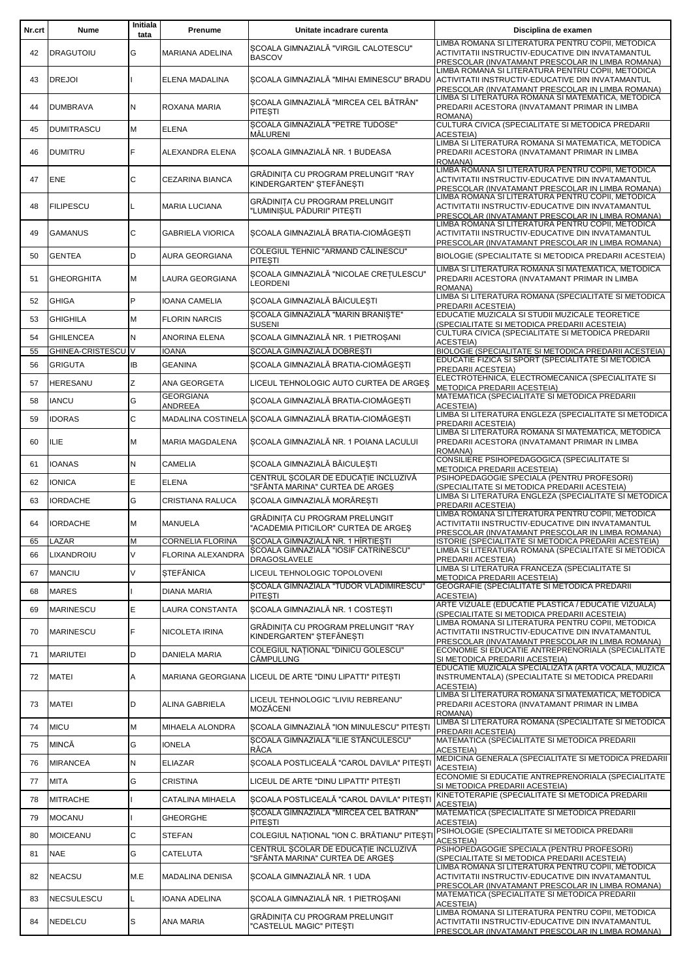| Nr.crt   | Nume                                 | Initiala<br>tata | Prenume                                             | Unitate incadrare curenta                                                                                    | Disciplina de examen                                                                                                                                                                                |
|----------|--------------------------------------|------------------|-----------------------------------------------------|--------------------------------------------------------------------------------------------------------------|-----------------------------------------------------------------------------------------------------------------------------------------------------------------------------------------------------|
| 42       | <b>DRAGUTOIU</b>                     | G                | MARIANA ADELINA                                     | SCOALA GIMNAZIALĂ "VIRGIL CALOTESCU"<br><b>BASCOV</b>                                                        | LIMBA ROMANA SI LITERATURA PENTRU COPII. METODICA<br>ACTIVITATII INSTRUCTIV-EDUCATIVE DIN INVATAMANTUL<br>PRESCOLAR (INVATAMANT PRESCOLAR IN LIMBA ROMANA)                                          |
| 43       | <b>DREJOI</b>                        |                  | ELENA MADALINA                                      |                                                                                                              | LIMBA ROMANA SI LITERATURA PENTRU COPII, METODICA<br>SCOALA GIMNAZIALĂ "MIHAI EMINESCU" BRADU ACTIVITATII INSTRUCTIV-EDUCATIVE DIN INVATAMANTUL<br>PRESCOLAR (INVATAMANT PRESCOLAR IN LIMBA ROMANA) |
| 44       | <b>DUMBRAVA</b>                      | N                | ROXANA MARIA                                        | SCOALA GIMNAZIALĂ "MIRCEA CEL BĂTRÂN"<br><b>PITESTI</b>                                                      | LIMBA SI LITERATURA ROMANA SI MATEMATICA, METODICA<br>PREDARII ACESTORA (INVATAMANT PRIMAR IN LIMBA<br>ROMANA)                                                                                      |
| 45       | <b>DUMITRASCU</b>                    | M                | <b>ELENA</b>                                        | SCOALA GIMNAZIALĂ "PETRE TUDOSE"<br>MĂLURENI                                                                 | CULTURA CIVICA (SPECIALITATE SI METODICA PREDARII<br><b>ACESTEIA)</b>                                                                                                                               |
| 46       | <b>DUMITRU</b>                       | E                | ALEXANDRA ELENA                                     | SCOALA GIMNAZIALĂ NR. 1 BUDEASA                                                                              | LIMBA SI LITERATURA ROMANA SI MATEMATICA, METODICA<br>PREDARII ACESTORA (INVATAMANT PRIMAR IN LIMBA<br>ROMANA)                                                                                      |
| 47       | <b>ENE</b>                           | C                | CEZARINA BIANCA                                     | GRĂDINIȚA CU PROGRAM PRELUNGIT "RAY<br>KINDERGARTEN" STEFÄNESTI                                              | LIMBA ROMANA SI LITERATURA PENTRU COPII, METODICA<br>ACTIVITATII INSTRUCTIV-EDUCATIVE DIN INVATAMANTUL<br>PRESCOLAR (INVATAMANT PRESCOLAR IN LIMBA ROMANA)                                          |
| 48       | <b>FILIPESCU</b>                     |                  | <b>MARIA LUCIANA</b>                                | GRĂDINITA CU PROGRAM PRELUNGIT<br>'LUMINIȘUL PĂDURII" PITEȘTI                                                | LIMBA ROMANA SI LITERATURA PENTRU COPII, METODICA<br>ACTIVITATII INSTRUCTIV-EDUCATIVE DIN INVATAMANTUL<br>PRESCOLAR (INVATAMANT PRESCOLAR IN LIMBA ROMANA)                                          |
| 49       | GAMANUS                              | C                | <b>GABRIELA VIORICA</b>                             | SCOALA GIMNAZIALĂ BRATIA-CIOMĂGESTI                                                                          | LIMBA ROMANA SI LITERATURA PENTRU COPII, METODICA<br>ACTIVITATII INSTRUCTIV-EDUCATIVE DIN INVATAMANTUL<br>PRESCOLAR (INVATAMANT PRESCOLAR IN LIMBA ROMANA)                                          |
| 50       | <b>GENTEA</b>                        | D                | <b>AURA GEORGIANA</b>                               | COLEGIUL TEHNIC "ARMAND CĂLINESCU"<br><b>PITESTI</b>                                                         | BIOLOGIE (SPECIALITATE SI METODICA PREDARII ACESTEIA)                                                                                                                                               |
| 51       | <b>GHEORGHITA</b>                    | M                | LAURA GEORGIANA                                     | SCOALA GIMNAZIALĂ "NICOLAE CRETULESCU"<br><b>LEORDENI</b>                                                    | LIMBA SI LITERATURA ROMANA SI MATEMATICA, METODICA<br>PREDARII ACESTORA (INVATAMANT PRIMAR IN LIMBA<br>ROMANA)                                                                                      |
| 52       | <b>GHIGA</b>                         | P                | <b>IOANA CAMELIA</b>                                | ȘCOALA GIMNAZIALĂ BĂICULEȘTI                                                                                 | LIMBA SI LITERATURA ROMANA (SPECIALITATE SI METODICA<br>PREDARII ACESTEIA)                                                                                                                          |
| 53       | <b>GHIGHILA</b>                      | M                | <b>FLORIN NARCIS</b>                                | SCOALA GIMNAZIALĂ "MARIN BRANISTE"<br>SUSENI                                                                 | EDUCATIE MUZICALA SI STUDII MUZICALE TEORETICE<br>(SPECIALITATE SI METODICA PREDARII ACESTEIA)                                                                                                      |
| 54       | <b>GHILENCEA</b>                     | N                | <b>ANORINA ELENA</b>                                | SCOALA GIMNAZIALĂ NR. 1 PIETROSANI                                                                           | CULTURA CIVICA (SPECIALITATE SI METODICA PREDARII<br><b>ACESTEIA)</b>                                                                                                                               |
| 55       | GHINEA-CRISTESCU V<br><b>GRIGUTA</b> |                  | <b>IOANA</b>                                        | SCOALA GIMNAZIALĂ DOBRESTI                                                                                   | BIOLOGIE (SPECIALITATE SI METODICA PREDARII ACESTEIA)<br>EDUCATIE FIZICA SI SPORT (SPECIALITATE SI METODICA                                                                                         |
| 56       |                                      | IB               | <b>GEANINA</b>                                      | SCOALA GIMNAZIALĂ BRATIA-CIOMĂGEȘTI                                                                          | PREDARII ACESTEIA)<br>ELECTROTEHNICA, ELECTROMECANICA (SPECIALITATE SI                                                                                                                              |
| 57       | HERESANU                             | Z                | ANA GEORGETA<br><b>GEORGIANA</b>                    | LICEUL TEHNOLOGIC AUTO CURTEA DE ARGES                                                                       | METODICA PREDARII ACESTEIA)<br>MATEMATICA (SPECIALITATE SI METODICA PREDARII                                                                                                                        |
| 58       | IANCU                                | G                | ANDREEA                                             | SCOALA GIMNAZIALĂ BRATIA-CIOMĂGESTI                                                                          | <b>ACESTEIA)</b><br>LIMBA SI LITERATURA ENGLEZA (SPECIALITATE SI METODICA                                                                                                                           |
| 59       | <b>IDORAS</b>                        | C                |                                                     | MADALINA COSTINELA SCOALA GIMNAZIALĂ BRATIA-CIOMĂGEȘTI                                                       | PREDARII ACESTEIA)<br>LIMBA SI LITERATURA ROMANA SI MATEMATICA, METODICA                                                                                                                            |
| 60       | ILIE                                 | М                | MARIA MAGDALENA                                     | SCOALA GIMNAZIALĂ NR. 1 POIANA LACULUI                                                                       | PREDARII ACESTORA (INVATAMANT PRIMAR IN LIMBA<br>ROMANA)<br>CONSILIERE PSIHOPEDAGOGICA (SPECIALITATE SI                                                                                             |
| 61       | IOANAS                               | N                | <b>CAMELIA</b>                                      | ȘCOALA GIMNAZIALĂ BĂICULEȘTI<br>CENTRUL ȘCOLAR DE EDUCAȚIE INCLUZIVĂ                                         | METODICA PREDARII ACESTEIA)<br>PSIHOPEDAGOGIE SPECIALA (PENTRU PROFESORI)                                                                                                                           |
| 62       | <b>IONICA</b>                        | E                | <b>ELENA</b>                                        | "SFÂNTA MARINA" CURTEA DE ARGES                                                                              | (SPECIALITATE SI METODICA PREDARII ACESTEIA)<br>LIMBA SI LITERATURA ENGLEZA (SPECIALITATE SI METODICA                                                                                               |
| 63       | <b>IORDACHE</b>                      | G                | <b>CRISTIANA RALUCA</b>                             | SCOALA GIMNAZIALĂ MORĂRESTI                                                                                  | PREDARII ACESTEIA)<br>LIMBA ROMANA SI LITERATURA PENTRU COPII, METODICA                                                                                                                             |
| 64       | <b>IORDACHE</b>                      | M                | <b>MANUELA</b>                                      | GRĂDINIȚA CU PROGRAM PRELUNGIT<br>"ACADEMIA PITICILOR" CURTEA DE ARGES                                       | ACTIVITATII INSTRUCTIV-EDUCATIVE DIN INVATAMANTUL<br>PRESCOLAR (INVATAMANT PRESCOLAR IN LIMBA ROMANA)                                                                                               |
| 65<br>66 | LAZAR<br>LIXANDROIU                  | M<br>V           | <b>CORNELIA FLORINA</b><br><b>FLORINA ALEXANDRA</b> | ȘCOALA GIMNAZIALĂ NR. 1 HÎRTIEȘTI<br>SCOALA GIMNAZIALĂ "IOSIF CATRINESCU"                                    | ISTORIE (SPECIALITATE SI METODICA PREDARII ACESTEIA)<br>LIMBA SI LITERATURA ROMANA (SPECIALITATE SI METODICA                                                                                        |
| 67       | <b>MANCIU</b>                        | V                | <b>STEFĂNICA</b>                                    | DRAGOSLAVELE<br>LICEUL TEHNOLOGIC TOPOLOVENI                                                                 | PREDARII ACESTEIA)<br>LIMBA SI LITERATURA FRANCEZA (SPECIALITATE SI                                                                                                                                 |
|          |                                      |                  |                                                     | SCOALA GIMNAZIALĂ "TUDOR VLADIMIRESCU"                                                                       | METODICA PREDARII ACESTEIA)<br>GEOGRAFIE (SPECIALITATE SI METODICA PREDARII                                                                                                                         |
| 68       | <b>MARES</b>                         |                  | DIANA MARIA                                         | <b>PITESTI</b>                                                                                               | <b>ACESTEIA)</b><br>ARTE VIZUALE (EDUCATIE PLASTICA / EDUCATIE VIZUALA)                                                                                                                             |
| 69       | MARINESCU                            | E                | <b>LAURA CONSTANTA</b>                              | SCOALA GIMNAZIALĂ NR. 1 COSTESTI                                                                             | (SPECIALITATE SI METODICA PREDARII ACESTEIA)<br>LIMBA ROMANA SI LITERATURA PENTRU COPII, METODICA                                                                                                   |
| 70       | MARINESCU                            | F.               | NICOLETA IRINA                                      | GRĂDINITA CU PROGRAM PRELUNGIT "RAY<br>KINDERGARTEN" ȘTEFĂNEȘTI<br><b>COLEGIUL NATIONAL "DINICU GOLESCU"</b> | ACTIVITATII INSTRUCTIV-EDUCATIVE DIN INVATAMANTUL<br>PRESCOLAR (INVATAMANT PRESCOLAR IN LIMBA ROMANA)                                                                                               |
| 71       | <b>MARIUTEI</b>                      | D                | <b>DANIELA MARIA</b>                                | <b>CÂMPULUNG</b>                                                                                             | ECONOMIE SI EDUCATIE ANTREPRENORIALA (SPECIALITATE<br>SI METODICA PREDARII ACESTEIA)                                                                                                                |
| 72       | <b>MATEI</b>                         | Α                |                                                     | MARIANA GEORGIANA LICEUL DE ARTE "DINU LIPATTI" PITESTI                                                      | EDUCATIE MUZICALA SPECIALIZATA (ARTA VOCALA, MUZICA<br>INSTRUMENTALA) (SPECIALITATE SI METODICA PREDARII<br><b>ACESTEIA)</b>                                                                        |
| 73       | <b>MATEI</b>                         | D                | ALINA GABRIELA                                      | LICEUL TEHNOLOGIC "LIVIU REBREANU"<br>MOZĂCENI                                                               | LIMBA SI LITERATURA ROMANA SI MATEMATICA, METODICA<br>PREDARII ACESTORA (INVATAMANT PRIMAR IN LIMBA<br>ROMANA)                                                                                      |
| 74       | <b>MICU</b>                          | M                | MIHAELA ALONDRA                                     | SCOALA GIMNAZIALĂ "ION MINULESCU" PITESTI                                                                    | LIMBA SI LITERATURA ROMANA (SPECIALITATE SI METODICA<br>PREDARII ACESTEIA)                                                                                                                          |
| 75       | MINCĂ                                | G                | <b>IONELA</b>                                       | SCOALA GIMNAZIALĂ "ILIE STĂNCULESCU"<br><b>RÂCA</b>                                                          | MATEMATICA (SPECIALITATE SI METODICA PREDARII<br><b>ACESTEIA)</b>                                                                                                                                   |
| 76       | <b>MIRANCEA</b>                      | N                | <b>ELIAZAR</b>                                      | SCOALA POSTLICEALĂ "CAROL DAVILA" PITEȘTI                                                                    | MEDICINA GENERALA (SPECIALITATE SI METODICA PREDARII<br><b>ACESTEIA)</b>                                                                                                                            |
| 77       | <b>MITA</b>                          | G                | <b>CRISTINA</b>                                     | LICEUL DE ARTE "DINU LIPATTI" PITEȘTI                                                                        | ECONOMIE SI EDUCATIE ANTREPRENORIALA (SPECIALITATE<br>SI METODICA PREDARII ACESTEIA)                                                                                                                |
| 78       | MITRACHE                             |                  | CATALINA MIHAELA                                    | ȘCOALA POSTLICEALĂ "CAROL DAVILA" PITEȘTI                                                                    | KINETOTERAPIE (SPECIALITATE SI METODICA PREDARII<br><b>ACESTEIA)</b>                                                                                                                                |
| 79       | <b>MOCANU</b>                        |                  | <b>GHEORGHE</b>                                     | SCOALA GIMNAZIALĂ "MIRCEA CEL BĂTRÂN"<br><b>PITESTI</b>                                                      | MATEMATICA (SPECIALITATE SI METODICA PREDARII<br><b>ACESTEIA)</b>                                                                                                                                   |
| 80       | <b>MOICEANU</b>                      | C                | <b>STEFAN</b>                                       | COLEGIUL NAȚIONAL "ION C. BRĂTIANU" PITEȘTI                                                                  | PSIHOLOGIE (SPECIALITATE SI METODICA PREDARII<br><b>ACESTEIA)</b>                                                                                                                                   |
| 81       | <b>NAE</b>                           | G                | CATELUTA                                            | CENTRUL SCOLAR DE EDUCATIE INCLUZIVĂ<br>'SFÂNTA MARINA" CURTEA DE ARGES                                      | PSIHOPEDAGOGIE SPECIALA (PENTRU PROFESORI)<br>(SPECIALITATE SI METODICA PREDARII ACESTEIA)                                                                                                          |
| 82       | NEACSU                               | M.E              | MADALINA DENISA                                     | SCOALA GIMNAZIALĂ NR. 1 UDA                                                                                  | LIMBA ROMANA SI LITERATURA PENTRU COPII, METODICA<br>ACTIVITATII INSTRUCTIV-EDUCATIVE DIN INVATAMANTUL<br>PRESCOLAR (INVATAMANT PRESCOLAR IN LIMBA ROMANA)                                          |
| 83       | NECSULESCU                           | L                | IOANA ADELINA                                       | SCOALA GIMNAZIALĂ NR. 1 PIETROȘANI                                                                           | MATEMATICA (SPECIALITATE SI METODICA PREDARII<br><b>ACESTEIA)</b>                                                                                                                                   |
| 84       | NEDELCU                              | S                | ANA MARIA                                           | GRÅDINITA CU PROGRAM PRELUNGIT<br>'CASTELUL MAGIC" PITESTI                                                   | LIMBA ROMANA SI LITERATURA PENTRU COPII, METODICA<br>ACTIVITATII INSTRUCTIV-EDUCATIVE DIN INVATAMANTUL<br>PRESCOLAR (INVATAMANT PRESCOLAR IN LIMBA ROMANA)                                          |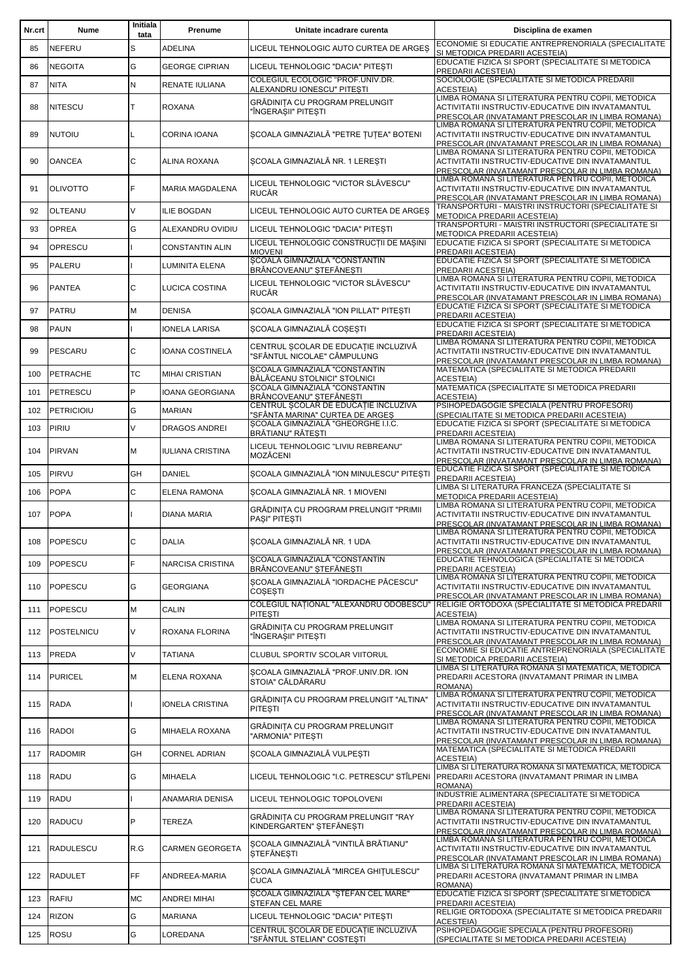| Nr.crt | Nume              | Initiala<br>tata | Prenume                 | Unitate incadrare curenta                                               | Disciplina de examen                                                                                                                                       |
|--------|-------------------|------------------|-------------------------|-------------------------------------------------------------------------|------------------------------------------------------------------------------------------------------------------------------------------------------------|
| 85     | <b>NEFERU</b>     | S                | <b>ADELINA</b>          | LICEUL TEHNOLOGIC AUTO CURTEA DE ARGES                                  | ECONOMIE SI EDUCATIE ANTREPRENORIALA (SPECIALITATE<br>SI METODICA PREDARII ACESTEIA)                                                                       |
| 86     | <b>NEGOITA</b>    | G                | <b>GEORGE CIPRIAN</b>   | LICEUL TEHNOLOGIC "DACIA" PITESTI                                       | EDUCATIE FIZICA SI SPORT (SPECIALITATE SI METODICA                                                                                                         |
|        |                   |                  |                         | COLEGIUL ECOLOGIC "PROF.UNIV.DR.                                        | PREDARII ACESTEIA)<br>SOCIOLOGIE (SPECIALITATE SI METODICA PREDARII                                                                                        |
| 87     | <b>NITA</b>       | N                | RENATE IULIANA          | ALEXANDRU IONESCU" PITESTI                                              | <b>ACESTEIA)</b><br>LIMBA ROMANA SI LITERATURA PENTRU COPII, METODICA                                                                                      |
| 88     | <b>NITESCU</b>    | т                | <b>ROXANA</b>           | GRĂDINIȚA CU PROGRAM PRELUNGIT<br>"ÎNGERAȘII" PITEȘTI                   | ACTIVITATII INSTRUCTIV-EDUCATIVE DIN INVATAMANTUL<br>PRESCOLAR (INVATAMANT PRESCOLAR IN LIMBA ROMANA)                                                      |
| 89     | <b>NUTOIU</b>     |                  | CORINA IOANA            | SCOALA GIMNAZIALĂ "PETRE ȚUȚEA" BOTENI                                  | LIMBA ROMANA SI LITERATURA PENTRU COPII, METODICA<br>ACTIVITATII INSTRUCTIV-EDUCATIVE DIN INVATAMANTUL<br>PRESCOLAR (INVATAMANT PRESCOLAR IN LIMBA ROMANA) |
| 90     | <b>OANCEA</b>     | C                | ALINA ROXANA            | ȘCOALA GIMNAZIALĂ NR. 1 LEREȘTI                                         | LIMBA ROMANA SI LITERATURA PENTRU COPII. METODICA<br>ACTIVITATII INSTRUCTIV-EDUCATIVE DIN INVATAMANTUL<br>PRESCOLAR (INVATAMANT PRESCOLAR IN LIMBA ROMANA) |
| 91     | <b>OLIVOTTO</b>   | F                | <b>MARIA MAGDALENA</b>  | LICEUL TEHNOLOGIC "VICTOR SLÅVESCU"<br><b>RUCĂR</b>                     | LIMBA ROMANA SI LITERATURA PENTRU COPII, METODICA<br>ACTIVITATII INSTRUCTIV-EDUCATIVE DIN INVATAMANTUL<br>PRESCOLAR (INVATAMANT PRESCOLAR IN LIMBA ROMANA) |
| 92     | OLTEANU           | $\vee$           | <b>ILIE BOGDAN</b>      | LICEUL TEHNOLOGIC AUTO CURTEA DE ARGES                                  | TRANSPORTURI - MAISTRI INSTRUCTORI (SPECIALITATE SI<br>METODICA PREDARII ACESTEIA)                                                                         |
| 93     | <b>OPREA</b>      | G                | ALEXANDRU OVIDIU        | LICEUL TEHNOLOGIC "DACIA" PITESTI                                       | TRANSPORTURI - MAISTRI INSTRUCTORI (SPECIALITATE SI<br>METODICA PREDARII ACESTEIA)                                                                         |
| 94     | OPRESCU           |                  | <b>CONSTANTIN ALIN</b>  | LICEUL TEHNOLOGIC CONSTRUCȚII DE MAȘINI<br><b>MIOVENI</b>               | EDUCATIE FIZICA SI SPORT (SPECIALITATE SI METODICA<br>PREDARII ACESTEIA)                                                                                   |
| 95     | <b>PALERU</b>     |                  | LUMINITA ELENA          | SCOALA GIMNAZIALĂ "CONSTANTIN<br>BRÂNCOVEANU" STEFĂNESTI                | EDUCATIE FIZICA SI SPORT (SPECIALITATE SI METODICA                                                                                                         |
| 96     | <b>PANTEA</b>     | C                | LUCICA COSTINA          | LICEUL TEHNOLOGIC "VICTOR SLĂVESCU"<br><b>RUCĂR</b>                     | PREDARII ACESTEIA)<br>LIMBA ROMANA SI LITERATURA PENTRU COPII, METODICA<br>ACTIVITATII INSTRUCTIV-EDUCATIVE DIN INVATAMANTUL                               |
| 97     | <b>PATRU</b>      | M                | <b>DENISA</b>           | ȘCOALA GIMNAZIALĂ "ION PILLAT" PITEȘTI                                  | PRESCOLAR (INVATAMANT PRESCOLAR IN LIMBA ROMANA)<br>EDUCATIE FIZICA SI SPORT (SPECIALITATE SI METODICA                                                     |
| 98     | <b>PAUN</b>       |                  | <b>IONELA LARISA</b>    | ȘCOALA GIMNAZIALĂ COȘEȘTI                                               | PREDARII ACESTEIA)<br>EDUCATIE FIZICA SI SPORT (SPECIALITATE SI METODICA                                                                                   |
|        |                   |                  |                         | CENTRUL SCOLAR DE EDUCATIE INCLUZIVĂ                                    | PREDARII ACESTEIA)<br>LIMBA ROMANA SI LITERATURA PENTRU COPII, METODICA                                                                                    |
| 99     | PESCARU           | C                | IOANA COSTINELA         | 'SFÂNTUL NICOLAE" CÂMPULUNG<br>SCOALA GIMNAZIALĂ "CONSTANTIN            | ACTIVITATII INSTRUCTIV-EDUCATIVE DIN INVATAMANTUL<br>PRESCOLAR (INVATAMANT PRESCOLAR IN LIMBA ROMANA)<br>MATEMATICA (SPECIALITATE SI METODICA PREDARII     |
| 100    | <b>PETRACHE</b>   | ТC               | <b>MIHAI CRISTIAN</b>   | BĂLĂCEANU STOLNICI" STOLNICI                                            | <b>ACESTEIA)</b>                                                                                                                                           |
| 101    | <b>PETRESCU</b>   | P                | <b>IOANA GEORGIANA</b>  | SCOALA GIMNAZIALĂ "CONSTANTIN<br>BRÂNCOVEANU" ȘTEFĂNEȘTI                | MATEMATICA (SPECIALITATE SI METODICA PREDARII<br><b>ACESTEIA)</b>                                                                                          |
| 102    | <b>PETRICIOIU</b> | G                | <b>MARIAN</b>           | CENTRUL SCOLAR DE EDUCAȚIE INCLUZIVĂ<br>"SFÂNTA MARINA" CURTEA DE ARGES | PSIHOPEDAGOGIE SPECIALA (PENTRU PROFESORI)<br>(SPECIALITATE SI METODICA PREDARII ACESTEIA)                                                                 |
| 103    | PIRIU             | $\vee$           | <b>DRAGOS ANDREI</b>    | SCOALA GIMNAZIALĂ "GHEORGHE I.I.C.                                      | EDUCATIE FIZICA SI SPORT (SPECIALITATE SI METODICA                                                                                                         |
|        |                   |                  |                         | BRĂTIANU" RĂTESTI<br>LICEUL TEHNOLOGIC "LIVIU REBREANU"                 | PREDARII ACESTEIA)<br>LIMBA ROMANA SI LITERATURA PENTRU COPII, METODICA                                                                                    |
| 104    | PIRVAN            | М                | <b>IULIANA CRISTINA</b> | <b>MOZĂCENI</b>                                                         | ACTIVITATII INSTRUCTIV-EDUCATIVE DIN INVATAMANTUL<br>PRESCOLAR (INVATAMANT PRESCOLAR IN LIMBA ROMANA)                                                      |
| 105    | PIRVU             | GH               | <b>DANIEL</b>           | SCOALA GIMNAZIALĂ "ION MINULESCU" PITESTI                               | EDUCATIE FIZICA SI SPORT (SPECIALITATE SI METODICA<br>PREDARII ACESTEIA)                                                                                   |
| 106    | <b>POPA</b>       | C                | <b>ELENA RAMONA</b>     | SCOALA GIMNAZIALĂ NR. 1 MIOVENI                                         | LIMBA SI LITERATURA FRANCEZA (SPECIALITATE SI<br>METODICA PREDARII ACESTEIA)                                                                               |
| 107    | <b>POPA</b>       |                  | <b>DIANA MARIA</b>      | GRĂDINITA CU PROGRAM PRELUNGIT "PRIMII<br>PASI" PITESTI                 | LIMBA ROMANA SI LITERATURA PENTRU COPII, METODICA<br>ACTIVITATII INSTRUCTIV-EDUCATIVE DIN INVATAMANTUL<br>PRESCOLAR (INVATAMANT PRESCOLAR IN LIMBA ROMANA) |
| 108    | POPESCU           | С                | <b>DALIA</b>            | SCOALA GIMNAZIALA NR. 1 UDA                                             | LIMBA ROMANA SI LITERATURA PENTRU COPII, METODICA<br>ACTIVITATII INSTRUCTIV-EDUCATIVE DIN INVATAMANTUL<br>PRESCOLAR (INVATAMANT PRESCOLAR IN LIMBA ROMANA) |
| 109    | <b>POPESCU</b>    | F                | NARCISA CRISTINA        | SCOALA GIMNAZIALĂ "CONSTANTIN<br>BRÂNCOVEANU" STEFĂNESTI                | EDUCATIE TEHNOLOGICA (SPECIALITATE SI METODICA<br>PREDARII ACESTEIA)                                                                                       |
| 110    | POPESCU           | G                | <b>GEORGIANA</b>        | SCOALA GIMNAZIALĂ "IORDACHE PĂCESCU"<br>COSESTI                         | LIMBA ROMANA SI LITERATURA PENTRU COPII, METODICA<br>ACTIVITATII INSTRUCTIV-EDUCATIVE DIN INVATAMANTUL<br>PRESCOLAR (INVATAMANT PRESCOLAR IN LIMBA ROMANA) |
| 111    | POPESCU           | M                | CALIN                   | COLEGIUL NAȚIONAL "ALEXANDRU ODOBESCU"<br><b>PITESTI</b>                | RELIGIE ORTODOXA (SPECIALITATE SI METODICA PREDARII<br><b>ACESTEIA)</b>                                                                                    |
| 112    | POSTELNICU        | V                | ROXANA FLORINA          | GRĂDINITA CU PROGRAM PRELUNGIT<br>'ÎNGERAȘII" PITEȘTI                   | LIMBA ROMANA SI LITERATURA PENTRU COPII, METODICA<br>ACTIVITATII INSTRUCTIV-EDUCATIVE DIN INVATAMANTUL                                                     |
| 113    | PREDA             | V                | <b>TATIANA</b>          | CLUBUL SPORTIV SCOLAR VIITORUL                                          | PRESCOLAR (INVATAMANT PRESCOLAR IN LIMBA ROMANA)<br>ECONOMIE SI EDUCATIE ANTREPRENORIALA (SPECIALITATE                                                     |
|        |                   |                  |                         | SCOALA GIMNAZIALĂ "PROF.UNIV.DR. ION                                    | SI METODICA PREDARII ACESTEIA)<br>LIMBA SI LITERATURA ROMANA SI MATEMATICA, METODICA                                                                       |
| 114    | <b>PURICEL</b>    | М                | ELENA ROXANA            | STOIA" CĂLDĂRARU                                                        | PREDARII ACESTORA (INVATAMANT PRIMAR IN LIMBA<br>ROMANA)<br>LIMBA ROMANA SI LITERATURA PENTRU COPII, METODICA                                              |
| 115    | <b>RADA</b>       |                  | <b>IONELA CRISTINA</b>  | GRĂDINIȚA CU PROGRAM PRELUNGIT "ALTINA"<br><b>PITESTI</b>               | ACTIVITATII INSTRUCTIV-EDUCATIVE DIN INVATAMANTUL<br>PRESCOLAR (INVATAMANT PRESCOLAR IN LIMBA ROMANA)<br>LIMBA ROMANA SI LITERATURA PENTRU COPII, METODICA |
| 116    | <b>RADOI</b>      | G                | MIHAELA ROXANA          | GRĂDINIȚA CU PROGRAM PRELUNGIT<br>'ARMONIA" PITESTI                     | ACTIVITATII INSTRUCTIV-EDUCATIVE DIN INVATAMANTUL<br>PRESCOLAR (INVATAMANT PRESCOLAR IN LIMBA ROMANA)                                                      |
| 117    | <b>RADOMIR</b>    | GH               | <b>CORNEL ADRIAN</b>    | ȘCOALA GIMNAZIALĂ VULPEȘTI                                              | MATEMATICA (SPECIALITATE SI METODICA PREDARII<br><b>ACESTEIA)</b>                                                                                          |
| 118    | <b>RADU</b>       | G                | <b>MIHAELA</b>          |                                                                         | LIMBA SI LITERATURA ROMANA SI MATEMATICA, METODICA<br>LICEUL TEHNOLOGIC "I.C. PETRESCU" STÎLPENI │PREDARII ACESTORA (INVATAMANT PRIMAR IN LIMBA<br>ROMANA) |
| 119    | RADU              |                  | ANAMARIA DENISA         | LICEUL TEHNOLOGIC TOPOLOVENI                                            | INDUSTRIE ALIMENTARA (SPECIALITATE SI METODICA<br>PREDARII ACESTEIA)                                                                                       |
| 120    | <b>RADUCU</b>     | P                | <b>TEREZA</b>           | GRĂDINIȚA CU PROGRAM PRELUNGIT "RAY<br>KINDERGARTEN" STEFÄNESTI         | LIMBA ROMANA SI LITERATURA PENTRU COPII, METODICA<br>ACTIVITATII INSTRUCTIV-EDUCATIVE DIN INVATAMANTUL<br>PRESCOLAR (INVATAMANT PRESCOLAR IN LIMBA ROMANA) |
| 121    | <b>RADULESCU</b>  | R.G              | <b>CARMEN GEORGETA</b>  | SCOALA GIMNAZIALĂ "VINTILĂ BRĂTIANU"<br><b>STEFÄNESTI</b>               | LIMBA ROMANA SI LITERATURA PENTRU COPII, METODICA<br>ACTIVITATII INSTRUCTIV-EDUCATIVE DIN INVATAMANTUL<br>PRESCOLAR (INVATAMANT PRESCOLAR IN LIMBA ROMANA) |
| 122    | <b>RADULET</b>    | <b>FF</b>        | ANDREEA-MARIA           | SCOALA GIMNAZIALĂ "MIRCEA GHIȚULESCU"<br><b>CUCA</b>                    | LIMBA SI LITERATURA ROMANA SI MATEMATICA, METODICA<br>PREDARII ACESTORA (INVATAMANT PRIMAR IN LIMBA<br>ROMANA)                                             |
| 123    | RAFIU             | МC               | <b>ANDREI MIHAI</b>     | SCOALA GIMNAZIALĂ "ȘTEFAN CEL MARE"<br>STEFAN CEL MARE                  | EDUCATIE FIZICA SI SPORT (SPECIALITATE SI METODICA<br>PREDARII ACESTEIA)                                                                                   |
| 124    | <b>RIZON</b>      | G                | <b>MARIANA</b>          | LICEUL TEHNOLOGIC "DACIA" PITEȘTI                                       | RELIGIE ORTODOXA (SPECIALITATE SI METODICA PREDARII<br><b>ACESTEIA)</b>                                                                                    |
| 125    | <b>ROSU</b>       | G                | LOREDANA                | CENTRUL SCOLAR DE EDUCATIE INCLUZIVĂ<br>'SFÂNTUL STELIAN" COSTEȘTI      | PSIHOPEDAGOGIE SPECIALA (PENTRU PROFESORI)<br>(SPECIALITATE SI METODICA PREDARII ACESTEIA)                                                                 |